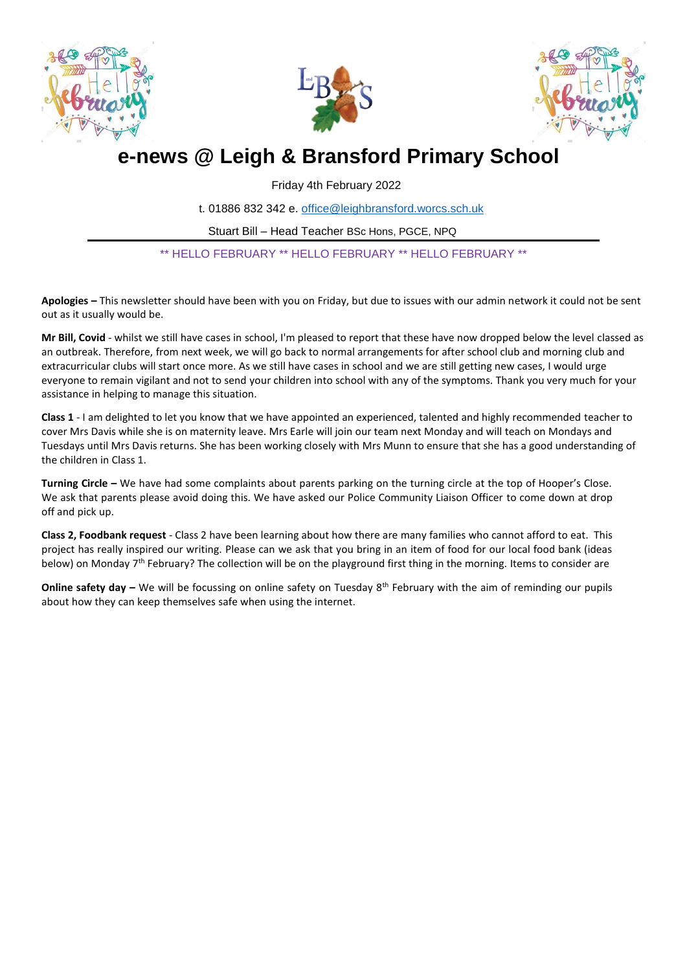





# **e-news @ Leigh & Bransford Primary School**

Friday 4th February 2022

t. 01886 832 342 e. [office@leighbransford.worcs.sch.uk](mailto:office@leighbransford.worcs.sch.uk)

Stuart Bill – Head Teacher BSc Hons, PGCE, NPQ

\*\* HELLO FEBRUARY \*\* HELLO FEBRUARY \*\* HELLO FEBRUARY \*\*

**Apologies –** This newsletter should have been with you on Friday, but due to issues with our admin network it could not be sent out as it usually would be.

**Mr Bill, Covid** - whilst we still have cases in school, I'm pleased to report that these have now dropped below the level classed as an outbreak. Therefore, from next week, we will go back to normal arrangements for after school club and morning club and extracurricular clubs will start once more. As we still have cases in school and we are still getting new cases, I would urge everyone to remain vigilant and not to send your children into school with any of the symptoms. Thank you very much for your assistance in helping to manage this situation.

**Class 1** - I am delighted to let you know that we have appointed an experienced, talented and highly recommended teacher to cover Mrs Davis while she is on maternity leave. Mrs Earle will join our team next Monday and will teach on Mondays and Tuesdays until Mrs Davis returns. She has been working closely with Mrs Munn to ensure that she has a good understanding of the children in Class 1.

**Turning Circle –** We have had some complaints about parents parking on the turning circle at the top of Hooper's Close. We ask that parents please avoid doing this. We have asked our Police Community Liaison Officer to come down at drop off and pick up.

**Class 2, Foodbank request** - Class 2 have been learning about how there are many families who cannot afford to eat. This project has really inspired our writing. Please can we ask that you bring in an item of food for our local food bank (ideas below) on Monday 7<sup>th</sup> February? The collection will be on the playground first thing in the morning. Items to consider are

**Online safety day** – We will be focussing on online safety on Tuesday 8<sup>th</sup> February with the aim of reminding our pupils about how they can keep themselves safe when using the internet.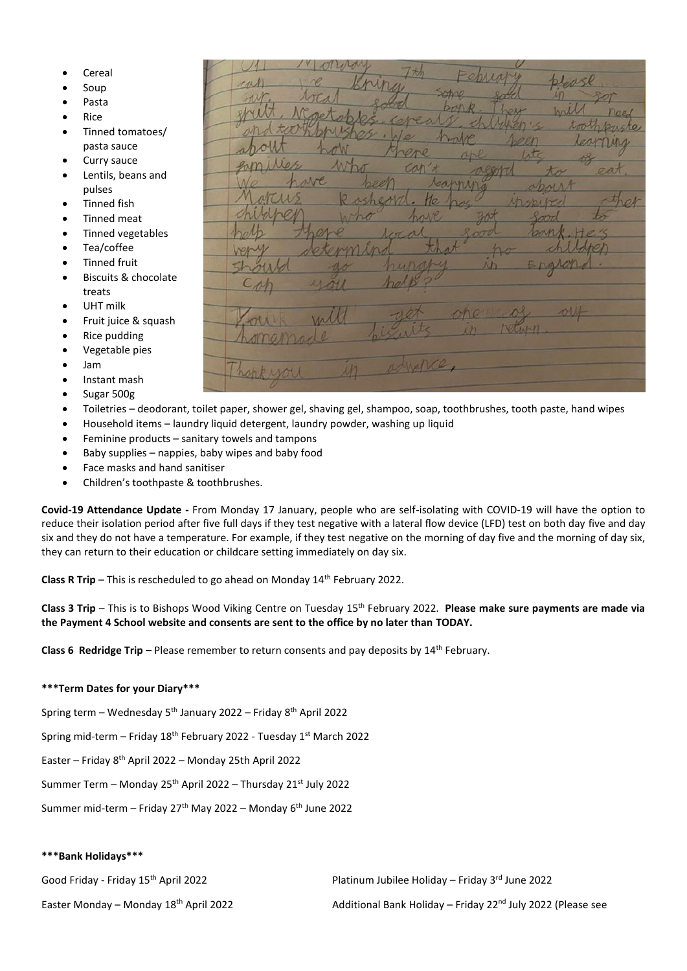- Cereal
- Soup
- Pasta
- Rice
- Tinned tomatoes/ pasta sauce
- Curry sauce
- Lentils, beans and pulses
- Tinned fish
- Tinned meat
- Tinned vegetables
- Tea/coffee
- Tinned fruit
- Biscuits & chocolate treats
- UHT milk
- Fruit juice & squash
- Rice pudding
- Vegetable pies
- Jam
- Instant mash
- Sugar 500g
- Toiletries deodorant, toilet paper, shower gel, shaving gel, shampoo, soap, toothbrushes, tooth paste, hand wipes
- Household items laundry liquid detergent, laundry powder, washing up liquid
- Feminine products sanitary towels and tampons
- Baby supplies nappies, baby wipes and baby food
- Face masks and hand sanitiser
- Children's toothpaste & toothbrushes.

**Covid-19 Attendance Update -** From Monday 17 January, people who are self-isolating with COVID-19 will have the option to reduce their isolation period after five full days if they test negative with a lateral flow device (LFD) test on both day five and day six and they do not have a temperature. For example, if they test negative on the morning of day five and the morning of day six, they can return to their education or childcare setting immediately on day six.

**Class R Trip** – This is rescheduled to go ahead on Monday 14<sup>th</sup> February 2022.

**Class 3 Trip** – This is to Bishops Wood Viking Centre on Tuesday 15th February 2022. **Please make sure payments are made via the Payment 4 School website and consents are sent to the office by no later than TODAY.**

**Class 6 Redridge Trip** – Please remember to return consents and pay deposits by 14<sup>th</sup> February.

## **\*\*\*Term Dates for your Diary\*\*\***

Spring term – Wednesday  $5^{th}$  January 2022 – Friday  $8^{th}$  April 2022

Spring mid-term – Friday 18th February 2022 - Tuesday 1st March 2022

Easter – Friday 8th April 2022 – Monday 25th April 2022

Summer Term – Monday 25th April 2022 – Thursday 21st July 2022

Summer mid-term – Friday 27<sup>th</sup> May 2022 – Monday  $6<sup>th</sup>$  June 2022

## **\*\*\*Bank Holidays\*\*\***

Good Friday - Friday 15<sup>th</sup> April 2022 **Platinum Jubilee Holiday – Friday 3<sup>rd</sup> June 2022** 

Easter Monday – Monday 18th April 2022 Additional Bank Holiday – Friday 22nd July 2022 (Please see

me advance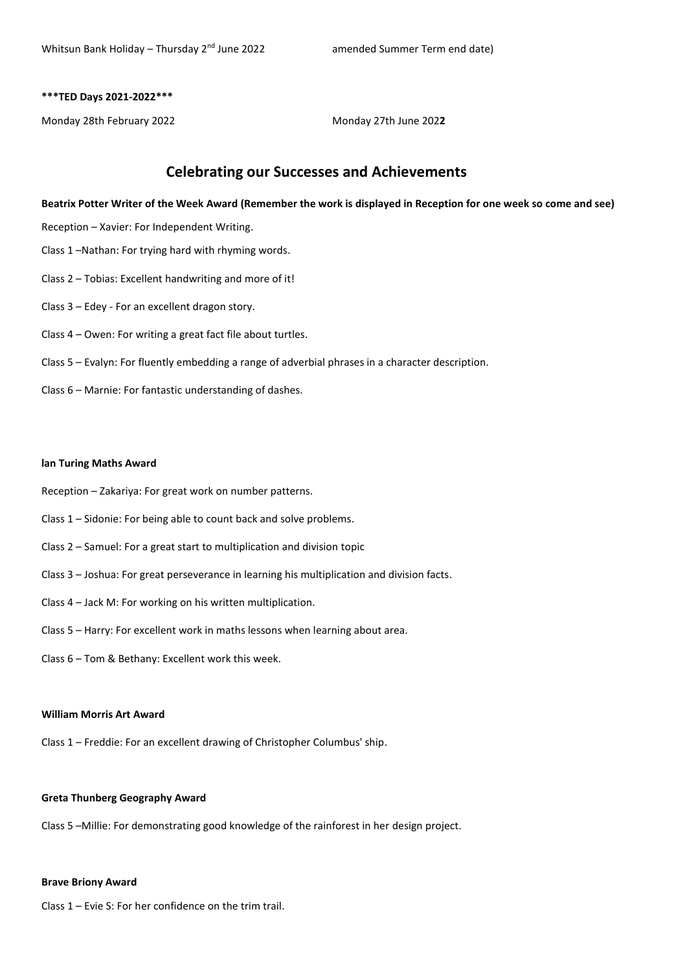#### **\*\*\*TED Days 2021-2022\*\*\***

Monday 28th February 2022 Monday 27th June 202**2**

# **Celebrating our Successes and Achievements**

**Beatrix Potter Writer of the Week Award (Remember the work is displayed in Reception for one week so come and see)**

- Reception Xavier: For Independent Writing.
- Class 1 –Nathan: For trying hard with rhyming words.
- Class 2 Tobias: Excellent handwriting and more of it!
- Class 3 Edey For an excellent dragon story.
- Class 4 Owen: For writing a great fact file about turtles.
- Class 5 Evalyn: For fluently embedding a range of adverbial phrases in a character description.
- Class 6 Marnie: For fantastic understanding of dashes.

#### **lan Turing Maths Award**

- Reception Zakariya: For great work on number patterns.
- Class 1 Sidonie: For being able to count back and solve problems.
- Class 2 Samuel: For a great start to multiplication and division topic
- Class 3 Joshua: For great perseverance in learning his multiplication and division facts.
- Class 4 Jack M: For working on his written multiplication.
- Class 5 Harry: For excellent work in maths lessons when learning about area.
- Class 6 Tom & Bethany: Excellent work this week.

## **William Morris Art Award**

Class 1 – Freddie: For an excellent drawing of Christopher Columbus' ship.

#### **Greta Thunberg Geography Award**

Class 5 –Millie: For demonstrating good knowledge of the rainforest in her design project.

#### **Brave Briony Award**

Class 1 – Evie S: For her confidence on the trim trail.